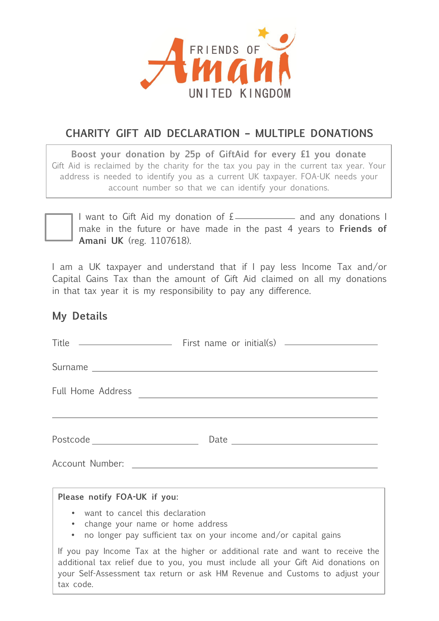

# **CHARITY GIFT AID DECLARATION – MULTIPLE DONATIONS**

**Boost your donation by 25p of GiftAid for every £1 you donate** Gift Aid is reclaimed by the charity for the tax you pay in the current tax year. Your address is needed to identify you as a current UK taxpayer. FOA-UK needs your account number so that we can identify your donations.



I want to Gift Aid my donation of  $E_$  and any donations I make in the future or have made in the past 4 years to **Friends of Amani UK** (reg. 1107618).

I am a UK taxpayer and understand that if I pay less Income Tax and/or Capital Gains Tax than the amount of Gift Aid claimed on all my donations in that tax year it is my responsibility to pay any difference.

#### **My Details**

tax code.

|                                                                                                                                               | Full Home Address                                                                                                                                                                                                                                   |
|-----------------------------------------------------------------------------------------------------------------------------------------------|-----------------------------------------------------------------------------------------------------------------------------------------------------------------------------------------------------------------------------------------------------|
|                                                                                                                                               |                                                                                                                                                                                                                                                     |
| Postcode ____________________________                                                                                                         |                                                                                                                                                                                                                                                     |
|                                                                                                                                               |                                                                                                                                                                                                                                                     |
| Please notify FOA-UK if you:                                                                                                                  |                                                                                                                                                                                                                                                     |
| • want to cancel this declaration<br>• change your name or home address<br>• no longer pay sufficient tax on your income and/or capital gains |                                                                                                                                                                                                                                                     |
|                                                                                                                                               | If you pay Income Tax at the higher or additional rate and want to receive the<br>additional tax relief due to you, you must include all your Gift Aid donations on<br>your Self-Assessment tax return or ask HM Revenue and Customs to adjust your |